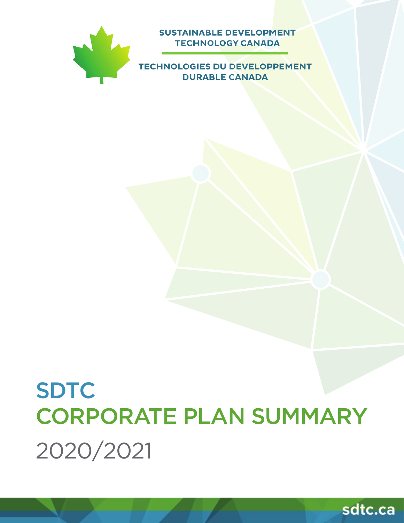

# SDTC CORPORATE PLAN SUMMARY 2020/2021





**SUSTAINABLE DEVELOPMENT TECHNOLOGY CANADA**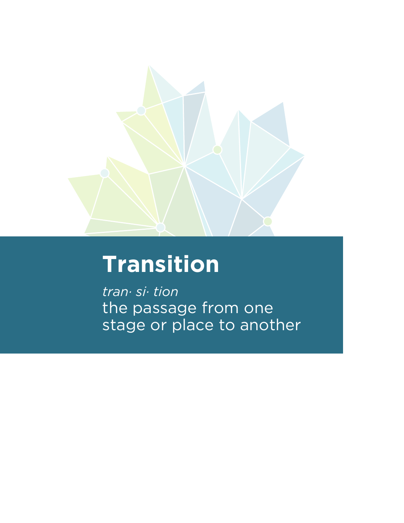

# **Transition**

*tran· si· tion* the passage from one stage or place to another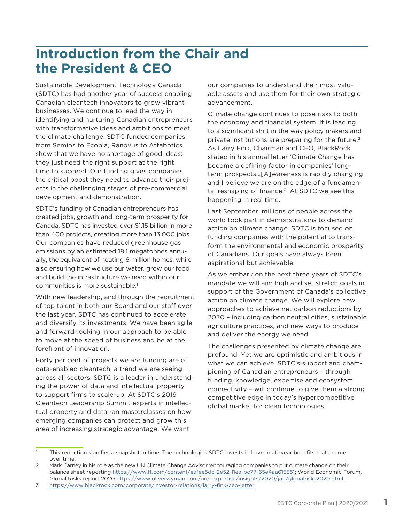# **Introduction from the Chair and the President & CEO**

Sustainable Development Technology Canada (SDTC) has had another year of success enabling Canadian cleantech innovators to grow vibrant businesses. We continue to lead the way in identifying and nurturing Canadian entrepreneurs with transformative ideas and ambitions to meet the climate challenge. SDTC funded companies from Semios to Ecopia, Ranovus to Attabotics show that we have no shortage of good ideas: they just need the right support at the right time to succeed. Our funding gives companies the critical boost they need to advance their projects in the challenging stages of pre-commercial development and demonstration.

SDTC's funding of Canadian entrepreneurs has created jobs, growth and long-term prosperity for Canada. SDTC has invested over \$1.15 billion in more than 400 projects, creating more than 13,000 jobs. Our companies have reduced greenhouse gas emissions by an estimated 18.1 megatonnes annually, the equivalent of heating 6 million homes, while also ensuring how we use our water, grow our food and build the infrastructure we need within our communities is more sustainable.<sup>1</sup>

With new leadership, and through the recruitment of top talent in both our Board and our staff over the last year, SDTC has continued to accelerate and diversify its investments. We have been agile and forward-looking in our approach to be able to move at the speed of business and be at the forefront of innovation.

Forty per cent of projects we are funding are of data-enabled cleantech, a trend we are seeing across all sectors. SDTC is a leader in understanding the power of data and intellectual property to support firms to scale-up. At SDTC's 2019 Cleantech Leadership Summit experts in intellectual property and data ran masterclasses on how emerging companies can protect and grow this area of increasing strategic advantage. We want

our companies to understand their most valuable assets and use them for their own strategic advancement.

Climate change continues to pose risks to both the economy and financial system. It is leading to a significant shift in the way policy makers and private institutions are preparing for the future.2 As Larry Fink, Chairman and CEO, BlackRock stated in his annual letter 'Climate Change has become a defining factor in companies' longterm prospects…[A]wareness is rapidly changing and I believe we are on the edge of a fundamental reshaping of finance.<sup>3'</sup> At SDTC we see this happening in real time.

Last September, millions of people across the world took part in demonstrations to demand action on climate change. SDTC is focused on funding companies with the potential to transform the environmental and economic prosperity of Canadians. Our goals have always been aspirational but achievable.

As we embark on the next three years of SDTC's mandate we will aim high and set stretch goals in support of the Government of Canada's collective action on climate change. We will explore new approaches to achieve net carbon reductions by 2030 – including carbon neutral cities, sustainable agriculture practices, and new ways to produce and deliver the energy we need.

The challenges presented by climate change are profound. Yet we are optimistic and ambitious in what we can achieve. SDTC's support and championing of Canadian entrepreneurs – through funding, knowledge, expertise and ecosystem connectivity – will continue to give them a strong competitive edge in today's hypercompetitive global market for clean technologies.

<sup>1</sup> This reduction signifies a snapshot in time. The technologies SDTC invests in have multi-year benefits that accrue over time.

<sup>2</sup> Mark Carney in his role as the new UN Climate Change Advisor 'encouraging companies to put climate change on their balance sheet reporting https://www.ft.com/content/eafee5dc-2e52-11ea-bc77-65e4aa615551; World Economic Forum, Global Risks report 2020 https://www.oliverwyman.com/our-expertise/insights/2020/jan/globalrisks2020.html

<sup>3</sup> https://www.blackrock.com/corporate/investor-relations/larry-fink-ceo-letter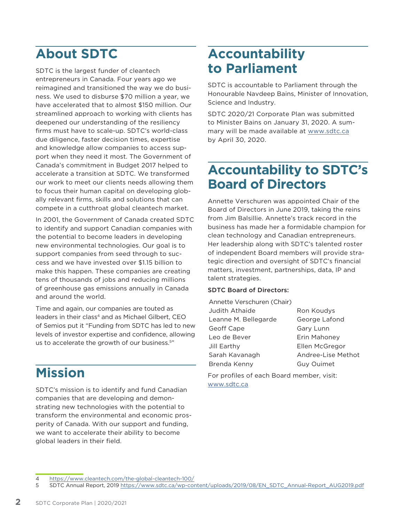# **About SDTC**

SDTC is the largest funder of cleantech entrepreneurs in Canada. Four years ago we reimagined and transitioned the way we do business. We used to disburse \$70 million a year, we have accelerated that to almost \$150 million. Our streamlined approach to working with clients has deepened our understanding of the resiliency firms must have to scale-up. SDTC's world-class due diligence, faster decision times, expertise and knowledge allow companies to access support when they need it most. The Government of Canada's commitment in Budget 2017 helped to accelerate a transition at SDTC. We transformed our work to meet our clients needs allowing them to focus their human capital on developing globally relevant firms, skills and solutions that can compete in a cutthroat global cleantech market.

In 2001, the Government of Canada created SDTC to identify and support Canadian companies with the potential to become leaders in developing new environmental technologies. Our goal is to support companies from seed through to success and we have invested over \$1.15 billion to make this happen. These companies are creating tens of thousands of jobs and reducing millions of greenhouse gas emissions annually in Canada and around the world.

Time and again, our companies are touted as leaders in their class<sup>4</sup> and as Michael Gilbert, CEO of Semios put it "Funding from SDTC has led to new levels of investor expertise and confidence, allowing us to accelerate the growth of our business.<sup>5"</sup>

# **Mission**

SDTC's mission is to identify and fund Canadian companies that are developing and demonstrating new technologies with the potential to transform the environmental and economic prosperity of Canada. With our support and funding, we want to accelerate their ability to become global leaders in their field.

# **Accountability to Parliament**

SDTC is accountable to Parliament through the Honourable Navdeep Bains, Minister of Innovation, Science and Industry.

SDTC 2020/21 Corporate Plan was submitted to Minister Bains on January 31, 2020. A summary will be made available at www.sdtc.ca by April 30, 2020.

# **Accountability to SDTC's Board of Directors**

Annette Verschuren was appointed Chair of the Board of Directors in June 2019, taking the reins from Jim Balsillie. Annette's track record in the business has made her a formidable champion for clean technology and Canadian entrepreneurs. Her leadership along with SDTC's talented roster of independent Board members will provide strategic direction and oversight of SDTC's financial matters, investment, partnerships, data, IP and talent strategies.

### SDTC Board of Directors:

| Annette Verschuren (Chair) |                    |
|----------------------------|--------------------|
| <b>Judith Athaide</b>      | Ron Koudys         |
| Leanne M. Bellegarde       | George Lafond      |
| Geoff Cape                 | Gary Lunn          |
| Leo de Bever               | Erin Mahoney       |
| Jill Earthy                | Ellen McGregor     |
| Sarah Kavanagh             | Andree-Lise Methot |
| Brenda Kenny               | <b>Guy Ouimet</b>  |

For profiles of each Board member, visit: www.sdtc.ca

<sup>4</sup> https://www.cleantech.com/the-global-cleantech-100/

<sup>5</sup> SDTC Annual Report, 2019 https://www.sdtc.ca/wp-content/uploads/2019/08/EN\_SDTC\_Annual-Report\_AUG2019.pdf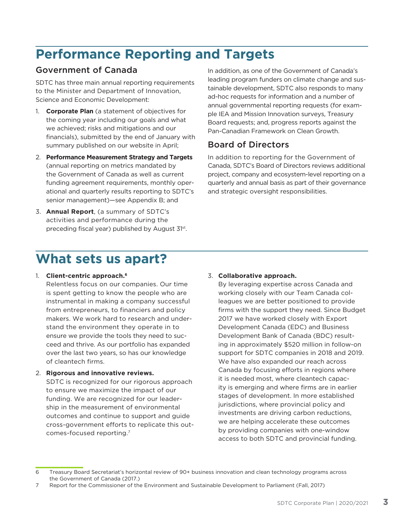# **Performance Reporting and Targets**

# Government of Canada

SDTC has three main annual reporting requirements to the Minister and Department of Innovation, Science and Economic Development:

- 1. **Corporate Plan** (a statement of objectives for the coming year including our goals and what we achieved; risks and mitigations and our financials), submitted by the end of January with summary published on our website in April;
- 2. **Performance Measurement Strategy and Targets**  (annual reporting on metrics mandated by the Government of Canada as well as current funding agreement requirements, monthly operational and quarterly results reporting to SDTC's senior management)—see Appendix B; and
- 3. **Annual Report**, (a summary of SDTC's activities and performance during the preceding fiscal year) published by August 31st.

In addition, as one of the Government of Canada's leading program funders on climate change and sustainable development, SDTC also responds to many ad-hoc requests for information and a number of annual governmental reporting requests (for example IEA and Mission Innovation surveys, Treasury Board requests; and, progress reports against the Pan-Canadian Framework on Clean Growth.

# Board of Directors

In addition to reporting for the Government of Canada, SDTC's Board of Directors reviews additional project, company and ecosystem-level reporting on a quarterly and annual basis as part of their governance and strategic oversight responsibilities.

# **What sets us apart?**

### 1. **Client-centric approach.6**

Relentless focus on our companies. Our time is spent getting to know the people who are instrumental in making a company successful from entrepreneurs, to financiers and policy makers. We work hard to research and understand the environment they operate in to ensure we provide the tools they need to succeed and thrive. As our portfolio has expanded over the last two years, so has our knowledge of cleantech firms.

2. **Rigorous and innovative reviews.** 

SDTC is recognized for our rigorous approach to ensure we maximize the impact of our funding. We are recognized for our leadership in the measurement of environmental outcomes and continue to support and guide cross-government efforts to replicate this outcomes-focused reporting.7

### 3. **Collaborative approach.**

By leveraging expertise across Canada and working closely with our Team Canada colleagues we are better positioned to provide firms with the support they need. Since Budget 2017 we have worked closely with Export Development Canada (EDC) and Business Development Bank of Canada (BDC) resulting in approximately \$520 million in follow-on support for SDTC companies in 2018 and 2019. We have also expanded our reach across Canada by focusing efforts in regions where it is needed most, where cleantech capacity is emerging and where firms are in earlier stages of development. In more established jurisdictions, where provincial policy and investments are driving carbon reductions, we are helping accelerate these outcomes by providing companies with one-window access to both SDTC and provincial funding.

<sup>6</sup> Treasury Board Secretariat's horizontal review of 90+ business innovation and clean technology programs across the Government of Canada (2017.)

<sup>7</sup> Report for the Commissioner of the Environment and Sustainable Development to Parliament (Fall, 2017)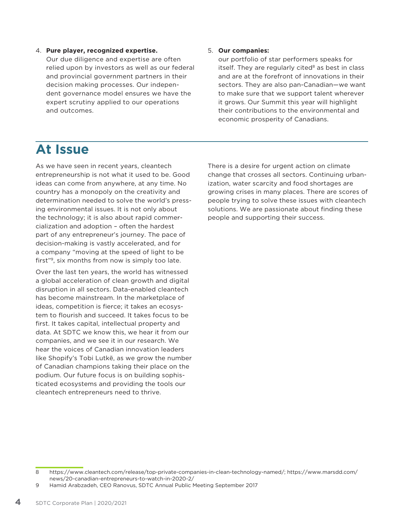#### 4. **Pure player, recognized expertise.**

Our due diligence and expertise are often relied upon by investors as well as our federal and provincial government partners in their decision making processes. Our independent governance model ensures we have the expert scrutiny applied to our operations and outcomes.

#### 5. **Our companies:**

our portfolio of star performers speaks for itself. They are regularly cited $8$  as best in class and are at the forefront of innovations in their sectors. They are also pan-Canadian—we want to make sure that we support talent wherever it grows. Our Summit this year will highlight their contributions to the environmental and economic prosperity of Canadians.

# **At Issue**

As we have seen in recent years, cleantech entrepreneurship is not what it used to be. Good ideas can come from anywhere, at any time. No country has a monopoly on the creativity and determination needed to solve the world's pressing environmental issues. It is not only about the technology; it is also about rapid commercialization and adoption – often the hardest part of any entrepreneur's journey. The pace of decision-making is vastly accelerated, and for a company "moving at the speed of light to be first"9, six months from now is simply too late.

Over the last ten years, the world has witnessed a global acceleration of clean growth and digital disruption in all sectors. Data-enabled cleantech has become mainstream. In the marketplace of ideas, competition is fierce; it takes an ecosystem to flourish and succeed. It takes focus to be first. It takes capital, intellectual property and data. At SDTC we know this, we hear it from our companies, and we see it in our research. We hear the voices of Canadian innovation leaders like Shopify's Tobi Lutkë, as we grow the number of Canadian champions taking their place on the podium. Our future focus is on building sophisticated ecosystems and providing the tools our cleantech entrepreneurs need to thrive.

There is a desire for urgent action on climate change that crosses all sectors. Continuing urbanization, water scarcity and food shortages are growing crises in many places. There are scores of people trying to solve these issues with cleantech solutions. We are passionate about finding these people and supporting their success.

<sup>8</sup> https://www.cleantech.com/release/top-private-companies-in-clean-technology-named/; https://www.marsdd.com/ news/20-canadian-entrepreneurs-to-watch-in-2020-2/

<sup>9</sup> Hamid Arabzadeh, CEO Ranovus, SDTC Annual Public Meeting September 2017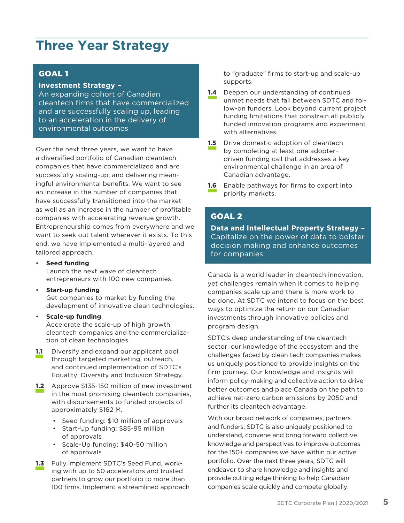# **Three Year Strategy**

## GOAL 1

### **Investment Strategy –**

An expanding cohort of Canadian cleantech firms that have commercialized and are successfully scaling up, leading to an acceleration in the delivery of environmental outcomes

Over the next three years, we want to have a diversified portfolio of Canadian cleantech companies that have commercialized and are successfully scaling-up, and delivering meaningful environmental benefits. We want to see an increase in the number of companies that have successfully transitioned into the market as well as an increase in the number of profitable companies with accelerating revenue growth. Entrepreneurship comes from everywhere and we want to seek out talent wherever it exists. To this end, we have implemented a multi-layered and tailored approach.

#### • **Seed funding**

Launch the next wave of cleantech entrepreneurs with 100 new companies.

#### • **Start-up funding**

Get companies to market by funding the development of innovative clean technologies.

• **Scale-up funding**

Accelerate the scale-up of high growth cleantech companies and the commercialization of clean technologies.

- **1.1** Diversify and expand our applicant pool through targeted marketing, outreach, and continued implementation of SDTC's Equality, Diversity and Inclusion Strategy.
- **1.2** Approve \$135-150 million of new investment in the most promising cleantech companies, with disbursements to funded projects of approximately \$162 M.
	- Seed funding: \$10 million of approvals
	- Start-Up funding: \$85-95 million of approvals
	- Scale-Up funding: \$40-50 million of approvals
- **1.3** Fully implement SDTC's Seed Fund, working with up to 50 accelerators and trusted partners to grow our portfolio to more than 100 firms. Implement a streamlined approach

to "graduate" firms to start-up and scale-up supports.

- **1.4** Deepen our understanding of continued unmet needs that fall between SDTC and follow-on funders. Look beyond current project funding limitations that constrain all publicly funded innovation programs and experiment with alternatives.
- **1.5** Drive domestic adoption of cleantech by completing at least one adopterdriven funding call that addresses a key environmental challenge in an area of Canadian advantage.
- **1.6** Enable pathways for firms to export into priority markets.

# GOAL 2

**Data and Intellectual Property Strategy –**  Capitalize on the power of data to bolster decision making and enhance outcomes for companies

Canada is a world leader in cleantech innovation, yet challenges remain when it comes to helping companies scale up and there is more work to be done. At SDTC we intend to focus on the best ways to optimize the return on our Canadian investments through innovative policies and program design.

SDTC's deep understanding of the cleantech sector, our knowledge of the ecosystem and the challenges faced by clean tech companies makes us uniquely positioned to provide insights on the firm journey. Our knowledge and insights will inform policy-making and collective action to drive better outcomes and place Canada on the path to achieve net-zero carbon emissions by 2050 and further its cleantech advantage.

With our broad network of companies, partners and funders, SDTC is also uniquely positioned to understand, convene and bring forward collective knowledge and perspectives to improve outcomes for the 150+ companies we have within our active portfolio. Over the next three years, SDTC will endeavor to share knowledge and insights and provide cutting edge thinking to help Canadian companies scale quickly and compete globally.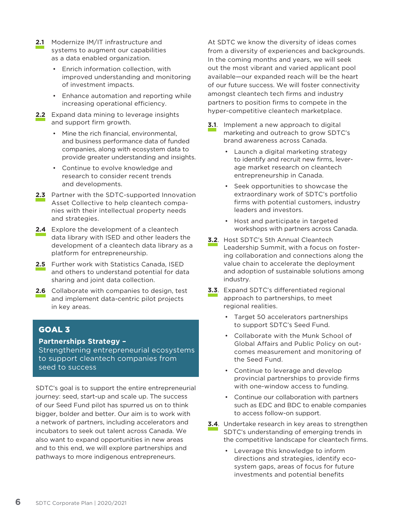- **2.1** Modernize IM/IT infrastructure and systems to augment our capabilities as a data enabled organization.
	- Enrich information collection, with improved understanding and monitoring of investment impacts.
	- Enhance automation and reporting while increasing operational efficiency.
- **2.2** Expand data mining to leverage insights and support firm growth.
	- Mine the rich financial, environmental, and business performance data of funded companies, along with ecosystem data to provide greater understanding and insights.
	- Continue to evolve knowledge and research to consider recent trends and developments.
- 2.3 Partner with the SDTC-supported Innovation Asset Collective to help cleantech companies with their intellectual property needs and strategies.
- **2.4** Explore the development of a cleantech data library with ISED and other leaders the development of a cleantech data library as a platform for entrepreneurship.
- **2.5** Further work with Statistics Canada, ISED and others to understand potential for data sharing and joint data collection.
- **2.6** Collaborate with companies to design, test and implement data-centric pilot projects in key areas.

# GOAL 3

### **Partnerships Strategy –**

Strengthening entrepreneurial ecosystems to support cleantech companies from seed to success

SDTC's goal is to support the entire entrepreneurial journey: seed, start-up and scale up. The success of our Seed Fund pilot has spurred us on to think bigger, bolder and better. Our aim is to work with a network of partners, including accelerators and incubators to seek out talent across Canada. We also want to expand opportunities in new areas and to this end, we will explore partnerships and pathways to more indigenous entrepreneurs.

At SDTC we know the diversity of ideas comes from a diversity of experiences and backgrounds. In the coming months and years, we will seek out the most vibrant and varied applicant pool available—our expanded reach will be the heart of our future success. We will foster connectivity amongst cleantech tech firms and industry partners to position firms to compete in the hyper-competitive cleantech marketplace.

- **3.1**. Implement a new approach to digital marketing and outreach to grow SDTC's brand awareness across Canada.
	- Launch a digital marketing strategy to identify and recruit new firms, leverage market research on cleantech entrepreneurship in Canada.
	- Seek opportunities to showcase the extraordinary work of SDTC's portfolio firms with potential customers, industry leaders and investors.
	- Host and participate in targeted workshops with partners across Canada.
- **3.2**. Host SDTC's 5th Annual Cleantech Leadership Summit, with a focus on fostering collaboration and connections along the value chain to accelerate the deployment and adoption of sustainable solutions among industry.
- **3.3**. Expand SDTC's differentiated regional approach to partnerships, to meet regional realities.
	- Target 50 accelerators partnerships to support SDTC's Seed Fund.
	- Collaborate with the Munk School of Global Affairs and Public Policy on outcomes measurement and monitoring of the Seed Fund.
	- Continue to leverage and develop provincial partnerships to provide firms with one-window access to funding.
	- Continue our collaboration with partners such as EDC and BDC to enable companies to access follow-on support.
- **3.4**. Undertake research in key areas to strengthen SDTC's understanding of emerging trends in the competitive landscape for cleantech firms.
	- Leverage this knowledge to inform directions and strategies, identify ecosystem gaps, areas of focus for future investments and potential benefits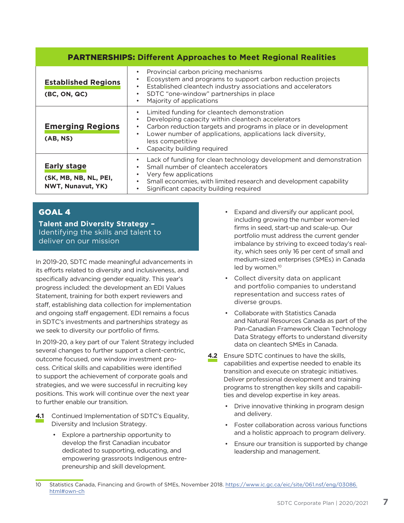| <b>PARTNERSHIPS: Different Approaches to Meet Regional Realities</b> |                                                                                                                                                                                                                                                                                                                                          |  |  |  |
|----------------------------------------------------------------------|------------------------------------------------------------------------------------------------------------------------------------------------------------------------------------------------------------------------------------------------------------------------------------------------------------------------------------------|--|--|--|
| <b>Established Regions</b><br>(BC, ON, QC)                           | Provincial carbon pricing mechanisms<br>Ecosystem and programs to support carbon reduction projects<br>Established cleantech industry associations and accelerators<br>$\bullet$<br>SDTC "one-window" partnerships in place<br>Majority of applications<br>$\bullet$                                                                     |  |  |  |
| <b>Emerging Regions</b><br>(AB, NS)                                  | Limited funding for cleantech demonstration<br>$\bullet$<br>Developing capacity within cleantech accelerators<br>$\bullet$<br>Carbon reduction targets and programs in place or in development<br>$\bullet$<br>Lower number of applications, applications lack diversity,<br>$\bullet$<br>less competitive<br>Capacity building required |  |  |  |
| <b>Early stage</b><br>(SK, MB, NB, NL, PEI,<br>NWT, Nunavut, YK)     | Lack of funding for clean technology development and demonstration<br>Small number of cleantech accelerators<br>Very few applications<br>Small economies, with limited research and development capability<br>Significant capacity building required                                                                                     |  |  |  |

# GOAL 4

**Talent and Diversity Strategy –**  Identifying the skills and talent to deliver on our mission

In 2019-20, SDTC made meaningful advancements in its efforts related to diversity and inclusiveness, and specifically advancing gender equality. This year's progress included: the development an EDI Values Statement, training for both expert reviewers and staff, establishing data collection for implementation and ongoing staff engagement. EDI remains a focus in SDTC's investments and partnerships strategy as we seek to diversity our portfolio of firms.

In 2019-20, a key part of our Talent Strategy included several changes to further support a client-centric, outcome focused, one window investment process. Critical skills and capabilities were identified to support the achievement of corporate goals and strategies, and we were successful in recruiting key positions. This work will continue over the next year to further enable our transition.

- **4.1** Continued Implementation of SDTC's Equality, Diversity and Inclusion Strategy.
	- Explore a partnership opportunity to develop the first Canadian incubator dedicated to supporting, educating, and empowering grassroots Indigenous entrepreneurship and skill development.
- Expand and diversify our applicant pool, including growing the number women-led firms in seed, start-up and scale-up. Our portfolio must address the current gender imbalance by striving to exceed today's reality, which sees only 16 per cent of small and medium-sized enterprises (SMEs) in Canada led by women.<sup>10</sup>
- Collect diversity data on applicant and portfolio companies to understand representation and success rates of diverse groups.
- Collaborate with Statistics Canada and Natural Resources Canada as part of the Pan-Canadian Framework Clean Technology Data Strategy efforts to understand diversity data on cleantech SMEs in Canada.
- **4.2** Ensure SDTC continues to have the skills, capabilities and expertise needed to enable its transition and execute on strategic initiatives. Deliver professional development and training programs to strengthen key skills and capabilities and develop expertise in key areas.
	- Drive innovative thinking in program design and delivery.
	- Foster collaboration across various functions and a holistic approach to program delivery.
	- Ensure our transition is supported by change leadership and management.

<sup>10</sup> Statistics Canada, Financing and Growth of SMEs, November 2018. https://www.ic.gc.ca/eic/site/061.nsf/eng/03086. html#own-ch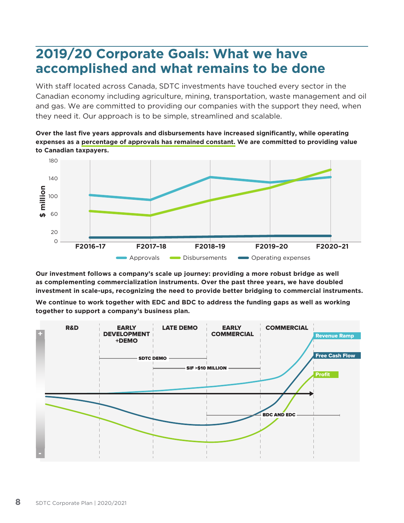# **2019/20 Corporate Goals: What we have accomplished and what remains to be done**

With staff located across Canada, SDTC investments have touched every sector in the Canadian economy including agriculture, mining, transportation, waste management and oil and gas. We are committed to providing our companies with the support they need, when they need it. Our approach is to be simple, streamlined and scalable.

**Over the last five years approvals and disbursements have increased significantly, while operating expenses as a percentage of approvals has remained constant. We are committed to providing value to Canadian taxpayers.** 



**Our investment follows a company's scale up journey: providing a more robust bridge as well as complementing commercialization instruments. Over the past three years, we have doubled investment in scale-ups, recognizing the need to provide better bridging to commercial instruments.** 

**We continue to work together with EDC and BDC to address the funding gaps as well as working together to support a company's business plan.** 

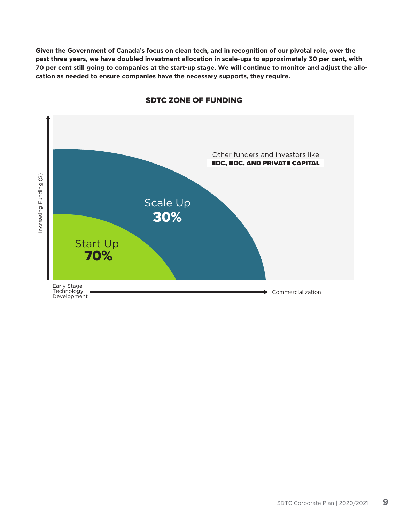**Given the Government of Canada's focus on clean tech, and in recognition of our pivotal role, over the past three years, we have doubled investment allocation in scale-ups to approximately 30 per cent, with 70 per cent still going to companies at the start-up stage. We will continue to monitor and adjust the allocation as needed to ensure companies have the necessary supports, they require.**



### SDTC ZONE OF FUNDING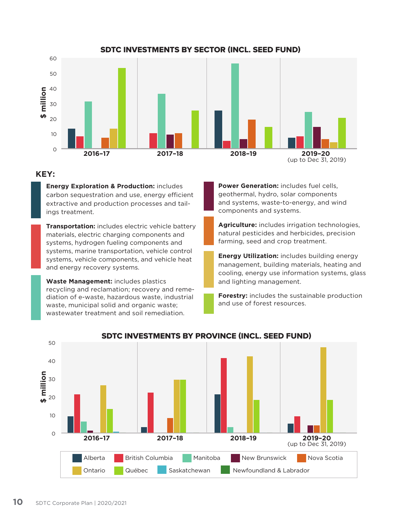

## SDTC INVESTMENTS BY SECTOR (INCL. SEED FUND)

# **KEY:**

• **Energy Exploration & Production:** includes carbon sequestration and use, energy efficient extractive and production processes and tailings treatment.

**Transportation:** includes electric vehicle battery materials, electric charging components and systems, hydrogen fueling components and systems, marine transportation, vehicle control systems, vehicle components, and vehicle heat and energy recovery systems.

• **Waste Management:** includes plastics recycling and reclamation; recovery and remediation of e-waste, hazardous waste, industrial waste, municipal solid and organic waste; wastewater treatment and soil remediation.

**Power Generation:** includes fuel cells, geothermal, hydro, solar components and systems, waste-to-energy, and wind components and systems.

• **Agriculture:** includes irrigation technologies, natural pesticides and herbicides, precision farming, seed and crop treatment.

**Energy Utilization:** includes building energy management, building materials, heating and cooling, energy use information systems, glass and lighting management.

**Forestry:** includes the sustainable production and use of forest resources.



# SDTC INVESTMENTS BY PROVINCE (INCL. SEED FUND)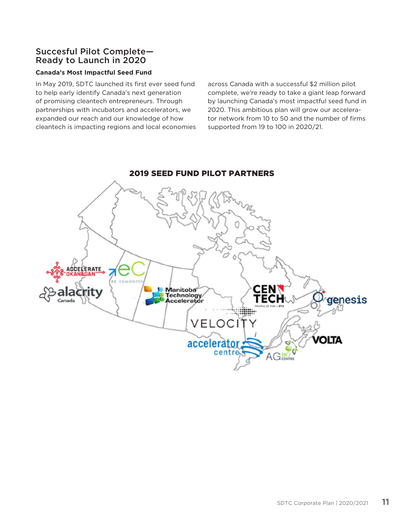# Succesful Pilot Complete— Ready to Launch in 2020

### **Canada's Most Impactful Seed Fund**

In May 2019, SDTC launched its first ever seed fund to help early identify Canada's next generation of promising cleantech entrepreneurs. Through partnerships with incubators and accelerators, we expanded our reach and our knowledge of how cleantech is impacting regions and local economies across Canada with a successful \$2 million pilot complete, we're ready to take a giant leap forward by launching Canada's most impactful seed fund in 2020. This ambitious plan will grow our accelerator network from 10 to 50 and the number of firms supported from 19 to 100 in 2020/21.



# 2019 SEED FUND PILOT PARTNERS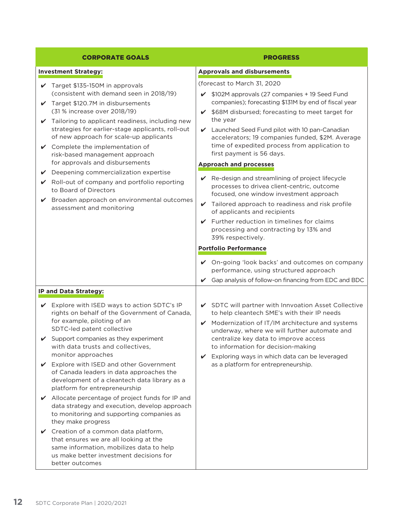| <b>CORPORATE GOALS</b>                                                                                                                                                                                                                                                                                                                                                                                                                                                                                                                                                                                                                                                                                                                                                                                                                   | <b>PROGRESS</b>                                                                                                                                                                                                                                                                                                                                                                                                                                                                                                                                                                                                                                                                                                                                                                                                    |  |
|------------------------------------------------------------------------------------------------------------------------------------------------------------------------------------------------------------------------------------------------------------------------------------------------------------------------------------------------------------------------------------------------------------------------------------------------------------------------------------------------------------------------------------------------------------------------------------------------------------------------------------------------------------------------------------------------------------------------------------------------------------------------------------------------------------------------------------------|--------------------------------------------------------------------------------------------------------------------------------------------------------------------------------------------------------------------------------------------------------------------------------------------------------------------------------------------------------------------------------------------------------------------------------------------------------------------------------------------------------------------------------------------------------------------------------------------------------------------------------------------------------------------------------------------------------------------------------------------------------------------------------------------------------------------|--|
| <b>Investment Strategy:</b>                                                                                                                                                                                                                                                                                                                                                                                                                                                                                                                                                                                                                                                                                                                                                                                                              | <b>Approvals and disbursements</b>                                                                                                                                                                                                                                                                                                                                                                                                                                                                                                                                                                                                                                                                                                                                                                                 |  |
| $\checkmark$ Target \$135-150M in approvals<br>(consistent with demand seen in 2018/19)<br>Target \$120.7M in disbursements<br>✓<br>(31 % increase over 2018/19)<br>$\checkmark$ Tailoring to applicant readiness, including new<br>strategies for earlier-stage applicants, roll-out<br>of new approach for scale-up applicants<br>$\checkmark$ Complete the implementation of<br>risk-based management approach<br>for approvals and disbursements<br>Deepening commercialization expertise<br>V<br>Roll-out of company and portfolio reporting<br>$\mathbf{v}$<br>to Board of Directors<br>$\vee$ Broaden approach on environmental outcomes<br>assessment and monitoring                                                                                                                                                             | (forecast to March 31, 2020<br>$\checkmark$ \$102M approvals (27 companies + 19 Seed Fund<br>companies); forecasting \$131M by end of fiscal year<br>✔ \$68M disbursed; forecasting to meet target for<br>the year<br>Launched Seed Fund pilot with 10 pan-Canadian<br>accelerators; 19 companies funded, \$2M. Average<br>time of expedited process from application to<br>first payment is 56 days.<br><b>Approach and processes</b><br>$\vee$ Re-design and streamlining of project lifecycle<br>processes to drivea client-centric, outcome<br>focused, one window investment approach<br>$\checkmark$ Tailored approach to readiness and risk profile<br>of applicants and recipients<br>$\checkmark$ Further reduction in timelines for claims<br>processing and contracting by 13% and<br>39% respectively. |  |
|                                                                                                                                                                                                                                                                                                                                                                                                                                                                                                                                                                                                                                                                                                                                                                                                                                          | <b>Portfolio Performance</b><br>✔ On-going 'look backs' and outcomes on company<br>performance, using structured approach<br>$\checkmark$ Gap analysis of follow-on financing from EDC and BDC                                                                                                                                                                                                                                                                                                                                                                                                                                                                                                                                                                                                                     |  |
| IP and Data Strategy:                                                                                                                                                                                                                                                                                                                                                                                                                                                                                                                                                                                                                                                                                                                                                                                                                    |                                                                                                                                                                                                                                                                                                                                                                                                                                                                                                                                                                                                                                                                                                                                                                                                                    |  |
| Explore with ISED ways to action SDTC's IP<br>$\checkmark$<br>rights on behalf of the Government of Canada,<br>for example, piloting of an<br>SDTC-led patent collective<br>Support companies as they experiment<br>V<br>with data trusts and collectives,<br>monitor approaches<br>Explore with ISED and other Government<br>✔<br>of Canada leaders in data approaches the<br>development of a cleantech data library as a<br>platform for entrepreneurship<br>Allocate percentage of project funds for IP and<br>V<br>data strategy and execution, develop approach<br>to monitoring and supporting companies as<br>they make progress<br>Creation of a common data platform,<br>V<br>that ensures we are all looking at the<br>same information, mobilizes data to help<br>us make better investment decisions for<br>better outcomes | SDTC will partner with Innvoation Asset Collective<br>to help cleantech SME's with their IP needs<br>$\mathcal V$ Modernization of IT/IM architecture and systems<br>underway, where we will further automate and<br>centralize key data to improve access<br>to information for decision-making<br>Exploring ways in which data can be leveraged<br>V<br>as a platform for entrepreneurship.                                                                                                                                                                                                                                                                                                                                                                                                                      |  |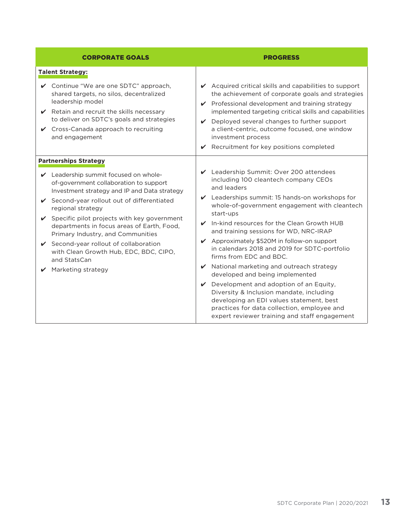| <b>CORPORATE GOALS</b>                                                                                                                                                                                                                                                                                                                                                                                                                                                                                     | <b>PROGRESS</b>                                                                                                                                                                                                                                                                                                                                                                                                                                                                                                                                                                                                                                                                                                |  |  |
|------------------------------------------------------------------------------------------------------------------------------------------------------------------------------------------------------------------------------------------------------------------------------------------------------------------------------------------------------------------------------------------------------------------------------------------------------------------------------------------------------------|----------------------------------------------------------------------------------------------------------------------------------------------------------------------------------------------------------------------------------------------------------------------------------------------------------------------------------------------------------------------------------------------------------------------------------------------------------------------------------------------------------------------------------------------------------------------------------------------------------------------------------------------------------------------------------------------------------------|--|--|
| <b>Talent Strategy:</b>                                                                                                                                                                                                                                                                                                                                                                                                                                                                                    |                                                                                                                                                                                                                                                                                                                                                                                                                                                                                                                                                                                                                                                                                                                |  |  |
| ✔ Continue "We are one SDTC" approach,<br>shared targets, no silos, decentralized<br>leadership model<br>$\vee$ Retain and recruit the skills necessary<br>to deliver on SDTC's goals and strategies<br>✔ Cross-Canada approach to recruiting<br>and engagement                                                                                                                                                                                                                                            | $\vee$ Acquired critical skills and capabilities to support<br>the achievement of corporate goals and strategies<br>✔ Professional development and training strategy<br>implemented targeting critical skills and capabilities<br>$\vee$ Deployed several changes to further support<br>a client-centric, outcome focused, one window<br>investment process<br>$\vee$ Recruitment for key positions completed                                                                                                                                                                                                                                                                                                  |  |  |
| <b>Partnerships Strategy</b><br>Leadership summit focused on whole-<br>of-government collaboration to support<br>Investment strategy and IP and Data strategy<br>✔ Second-year rollout out of differentiated<br>regional strategy<br>$\checkmark$ Specific pilot projects with key government<br>departments in focus areas of Earth, Food,<br>Primary Industry, and Communities<br>✔ Second-year rollout of collaboration<br>with Clean Growth Hub, EDC, BDC, CIPO,<br>and StatsCan<br>Marketing strategy | Leadership Summit: Over 200 attendees<br>including 100 cleantech company CEOs<br>and leaders<br>$\vee$ Leaderships summit: 15 hands-on workshops for<br>whole-of-government engagement with cleantech<br>start-ups<br>$\vee$ In-kind resources for the Clean Growth HUB<br>and training sessions for WD, NRC-IRAP<br>✔ Approximately \$520M in follow-on support<br>in calendars 2018 and 2019 for SDTC-portfolio<br>firms from EDC and BDC.<br>✔ National marketing and outreach strategy<br>developed and being implemented<br>Development and adoption of an Equity,<br>Diversity & Inclusion mandate, including<br>developing an EDI values statement, best<br>practices for data collection, employee and |  |  |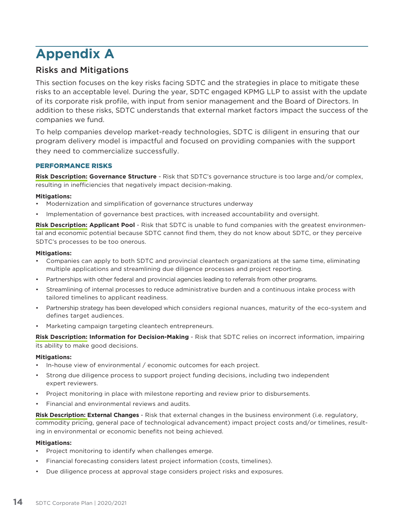# **Appendix A**

# Risks and Mitigations

This section focuses on the key risks facing SDTC and the strategies in place to mitigate these risks to an acceptable level. During the year, SDTC engaged KPMG LLP to assist with the update of its corporate risk profile, with input from senior management and the Board of Directors. In addition to these risks, SDTC understands that external market factors impact the success of the companies we fund.

To help companies develop market-ready technologies, SDTC is diligent in ensuring that our program delivery model is impactful and focused on providing companies with the support they need to commercialize successfully.

### PERFORMANCE RISKS

**Risk Description: Governance Structure** - Risk that SDTC's governance structure is too large and/or complex, resulting in inefficiencies that negatively impact decision-making.

### **Mitigations:**

- Modernization and simplification of governance structures underway
- Implementation of governance best practices, with increased accountability and oversight.

**Risk Description: Applicant Pool** - Risk that SDTC is unable to fund companies with the greatest environmental and economic potential because SDTC cannot find them, they do not know about SDTC, or they perceive SDTC's processes to be too onerous.

#### **Mitigations:**

- Companies can apply to both SDTC and provincial cleantech organizations at the same time, eliminating multiple applications and streamlining due diligence processes and project reporting.
- Partnerships with other federal and provincial agencies leading to referrals from other programs.
- Streamlining of internal processes to reduce administrative burden and a continuous intake process with tailored timelines to applicant readiness.
- Partnership strategy has been developed which considers regional nuances, maturity of the eco-system and defines target audiences.
- Marketing campaign targeting cleantech entrepreneurs.

**Risk Description: Information for Decision-Making** - Risk that SDTC relies on incorrect information, impairing its ability to make good decisions.

#### **Mitigations:**

- In-house view of environmental / economic outcomes for each project.
- Strong due diligence process to support project funding decisions, including two independent expert reviewers.
- Project monitoring in place with milestone reporting and review prior to disbursements.
- Financial and environmental reviews and audits.

**Risk Description: External Changes** - Risk that external changes in the business environment (i.e. regulatory, commodity pricing, general pace of technological advancement) impact project costs and/or timelines, resulting in environmental or economic benefits not being achieved.

#### **Mitigations:**

- Project monitoring to identify when challenges emerge.
- Financial forecasting considers latest project information (costs, timelines).
- Due diligence process at approval stage considers project risks and exposures.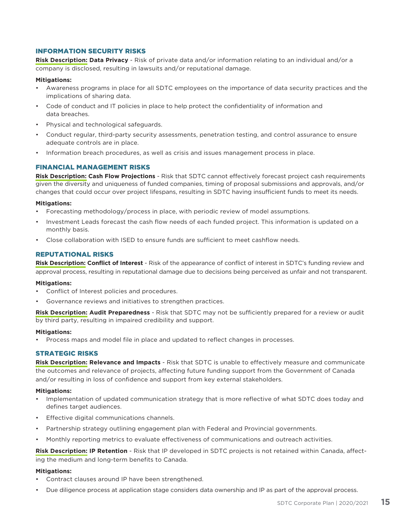#### INFORMATION SECURITY RISKS

**Risk Description: Data Privacy** - Risk of private data and/or information relating to an individual and/or a company is disclosed, resulting in lawsuits and/or reputational damage.

#### **Mitigations:**

- Awareness programs in place for all SDTC employees on the importance of data security practices and the implications of sharing data.
- Code of conduct and IT policies in place to help protect the confidentiality of information and data breaches.
- Physical and technological safeguards.
- Conduct regular, third-party security assessments, penetration testing, and control assurance to ensure adequate controls are in place.
- Information breach procedures, as well as crisis and issues management process in place.

### FINANCIAL MANAGEMENT RISKS

**Risk Description: Cash Flow Projections** - Risk that SDTC cannot effectively forecast project cash requirements given the diversity and uniqueness of funded companies, timing of proposal submissions and approvals, and/or changes that could occur over project lifespans, resulting in SDTC having insufficient funds to meet its needs.

#### **Mitigations:**

- Forecasting methodology/process in place, with periodic review of model assumptions.
- Investment Leads forecast the cash flow needs of each funded project. This information is updated on a monthly basis.
- Close collaboration with ISED to ensure funds are sufficient to meet cashflow needs.

### REPUTATIONAL RISKS

**Risk Description: Conflict of Interest** - Risk of the appearance of conflict of interest in SDTC's funding review and approval process, resulting in reputational damage due to decisions being perceived as unfair and not transparent.

#### **Mitigations:**

- Conflict of Interest policies and procedures.
- Governance reviews and initiatives to strengthen practices.

**Risk Description: Audit Preparedness** - Risk that SDTC may not be sufficiently prepared for a review or audit by third party, resulting in impaired credibility and support.

#### **Mitigations:**

• Process maps and model file in place and updated to reflect changes in processes.

#### STRATEGIC RISKS

**Risk Description: Relevance and Impacts** - Risk that SDTC is unable to effectively measure and communicate the outcomes and relevance of projects, affecting future funding support from the Government of Canada and/or resulting in loss of confidence and support from key external stakeholders.

#### **Mitigations:**

- Implementation of updated communication strategy that is more reflective of what SDTC does today and defines target audiences.
- Effective digital communications channels.
- Partnership strategy outlining engagement plan with Federal and Provincial governments.
- Monthly reporting metrics to evaluate effectiveness of communications and outreach activities.

**Risk Description: IP Retention** - Risk that IP developed in SDTC projects is not retained within Canada, affecting the medium and long-term benefits to Canada.

#### **Mitigations:**

- Contract clauses around IP have been strengthened.
- Due diligence process at application stage considers data ownership and IP as part of the approval process.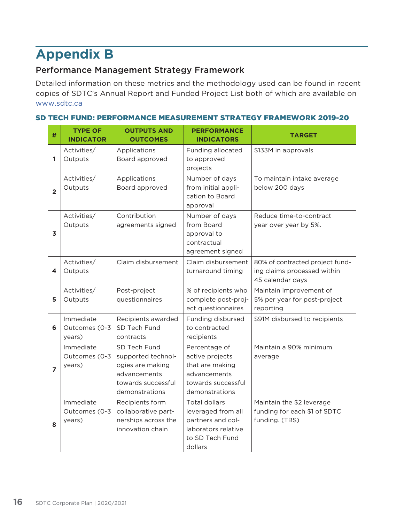# **Appendix B**

# Performance Management Strategy Framework

Detailed information on these metrics and the methodology used can be found in recent copies of SDTC's Annual Report and Funded Project List both of which are available on www.sdtc.ca

# SD TECH FUND: PERFORMANCE MEASUREMENT STRATEGY FRAMEWORK 2019-20

| #                       | <b>TYPE OF</b><br><b>INDICATOR</b>   | <b>OUTPUTS AND</b><br><b>OUTCOMES</b>                                                                          | <b>PERFORMANCE</b><br><b>INDICATORS</b>                                                                       | <b>TARGET</b>                                                                      |
|-------------------------|--------------------------------------|----------------------------------------------------------------------------------------------------------------|---------------------------------------------------------------------------------------------------------------|------------------------------------------------------------------------------------|
| 1                       | Activities/<br>Outputs               | Applications<br>Board approved                                                                                 | Funding allocated<br>to approved<br>projects                                                                  | \$133M in approvals                                                                |
| $\overline{2}$          | Activities/<br>Outputs               | Applications<br>Board approved                                                                                 | Number of days<br>from initial appli-<br>cation to Board<br>approval                                          | To maintain intake average<br>below 200 days                                       |
| $\overline{\mathbf{3}}$ | Activities/<br>Outputs               | Contribution<br>agreements signed                                                                              | Number of days<br>from Board<br>approval to<br>contractual<br>agreement signed                                | Reduce time-to-contract<br>year over year by 5%.                                   |
| 4                       | Activities/<br>Outputs               | Claim disbursement                                                                                             | Claim disbursement<br>turnaround timing                                                                       | 80% of contracted project fund-<br>ing claims processed within<br>45 calendar days |
| 5                       | Activities/<br>Outputs               | Post-project<br>questionnaires                                                                                 | % of recipients who<br>complete post-proj-<br>ect questionnaires                                              | Maintain improvement of<br>5% per year for post-project<br>reporting               |
| 6                       | Immediate<br>Outcomes (0-3<br>years) | Recipients awarded<br>SD Tech Fund<br>contracts                                                                | Funding disbursed<br>to contracted<br>recipients                                                              | \$91M disbursed to recipients                                                      |
| $\overline{z}$          | Immediate<br>Outcomes (0-3<br>years) | SD Tech Fund<br>supported technol-<br>ogies are making<br>advancements<br>towards successful<br>demonstrations | Percentage of<br>active projects<br>that are making<br>advancements<br>towards successful<br>demonstrations   | Maintain a 90% minimum<br>average                                                  |
| 8                       | Immediate<br>Outcomes (0-3<br>years) | Recipients form<br>collaborative part-<br>nerships across the<br>innovation chain                              | Total dollars<br>leveraged from all<br>partners and col-<br>laborators relative<br>to SD Tech Fund<br>dollars | Maintain the \$2 leverage<br>funding for each \$1 of SDTC<br>funding. (TBS)        |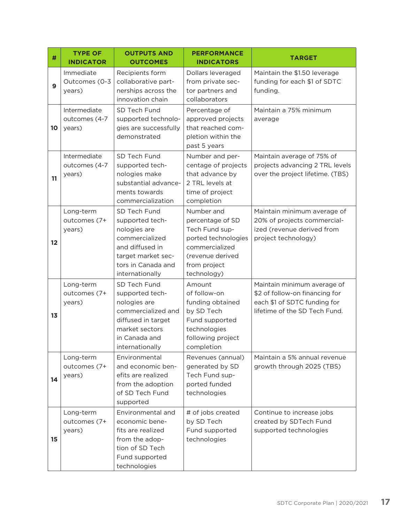| #            | <b>TYPE OF</b><br><b>INDICATOR</b>      | <b>OUTPUTS AND</b><br><b>OUTCOMES</b>                                                                                                               | <b>PERFORMANCE</b><br><b>INDICATORS</b>                                                                                                      | <b>TARGET</b>                                                                                                                  |
|--------------|-----------------------------------------|-----------------------------------------------------------------------------------------------------------------------------------------------------|----------------------------------------------------------------------------------------------------------------------------------------------|--------------------------------------------------------------------------------------------------------------------------------|
| $\mathbf{9}$ | Immediate<br>Outcomes (0-3<br>years)    | Recipients form<br>collaborative part-<br>nerships across the<br>innovation chain                                                                   | Dollars leveraged<br>from private sec-<br>tor partners and<br>collaborators                                                                  | Maintain the \$1.50 leverage<br>funding for each \$1 of SDTC<br>funding.                                                       |
| 10           | Intermediate<br>outcomes (4-7<br>years) | SD Tech Fund<br>supported technolo-<br>gies are successfully<br>demonstrated                                                                        | Percentage of<br>approved projects<br>that reached com-<br>pletion within the<br>past 5 years                                                | Maintain a 75% minimum<br>average                                                                                              |
| 11           | Intermediate<br>outcomes (4-7<br>years) | SD Tech Fund<br>supported tech-<br>nologies make<br>substantial advance-<br>ments towards<br>commercialization                                      | Number and per-<br>centage of projects<br>that advance by<br>2 TRL levels at<br>time of project<br>completion                                | Maintain average of 75% of<br>projects advancing 2 TRL levels<br>over the project lifetime. (TBS)                              |
| 12           | Long-term<br>outcomes (7+<br>years)     | SD Tech Fund<br>supported tech-<br>nologies are<br>commercialized<br>and diffused in<br>target market sec-<br>tors in Canada and<br>internationally | Number and<br>percentage of SD<br>Tech Fund sup-<br>ported technologies<br>commercialized<br>(revenue derived<br>from project<br>technology) | Maintain minimum average of<br>20% of projects commercial-<br>ized (revenue derived from<br>project technology)                |
| 13           | Long-term<br>outcomes (7+<br>years)     | SD Tech Fund<br>supported tech-<br>nologies are<br>commercialized and<br>diffused in target<br>market sectors<br>in Canada and<br>internationally   | Amount<br>of follow-on<br>funding obtained<br>by SD Tech<br>Fund supported<br>technologies<br>following project<br>completion                | Maintain minimum average of<br>\$2 of follow-on financing for<br>each \$1 of SDTC funding for<br>lifetime of the SD Tech Fund. |
| 14           | Long-term<br>outcomes (7+<br>years)     | Environmental<br>and economic ben-<br>efits are realized<br>from the adoption<br>of SD Tech Fund<br>supported                                       | Revenues (annual)<br>generated by SD<br>Tech Fund sup-<br>ported funded<br>technologies                                                      | Maintain a 5% annual revenue<br>growth through 2025 (TBS)                                                                      |
| 15           | Long-term<br>outcomes (7+<br>years)     | Environmental and<br>economic bene-<br>fits are realized<br>from the adop-<br>tion of SD Tech<br>Fund supported<br>technologies                     | # of jobs created<br>by SD Tech<br>Fund supported<br>technologies                                                                            | Continue to increase jobs<br>created by SDTech Fund<br>supported technologies                                                  |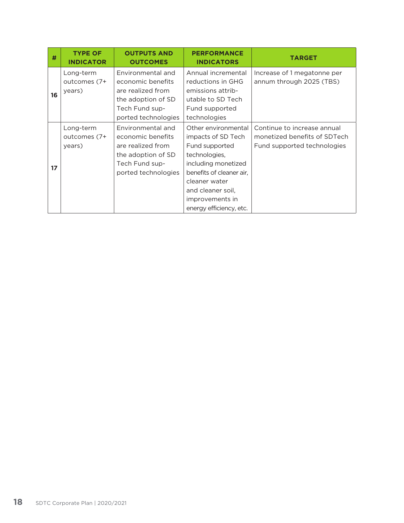| #  | <b>TYPE OF</b><br><b>INDICATOR</b>  | <b>OUTPUTS AND</b><br><b>OUTCOMES</b>                                                                                      | <b>PERFORMANCE</b><br><b>INDICATORS</b>                                                                                                                                                                             | <b>TARGET</b>                                                                              |
|----|-------------------------------------|----------------------------------------------------------------------------------------------------------------------------|---------------------------------------------------------------------------------------------------------------------------------------------------------------------------------------------------------------------|--------------------------------------------------------------------------------------------|
| 16 | Long-term<br>outcomes (7+<br>years) | Environmental and<br>economic benefits<br>are realized from<br>the adoption of SD<br>Tech Fund sup-<br>ported technologies | Annual incremental<br>reductions in GHG<br>emissions attrib-<br>utable to SD Tech<br>Fund supported<br>technologies                                                                                                 | Increase of 1 megatonne per<br>annum through 2025 (TBS)                                    |
| 17 | Long-term<br>outcomes (7+<br>years) | Environmental and<br>economic benefits<br>are realized from<br>the adoption of SD<br>Tech Fund sup-<br>ported technologies | Other environmental<br>impacts of SD Tech<br>Fund supported<br>technologies,<br>including monetized<br>benefits of cleaner air.<br>cleaner water<br>and cleaner soil,<br>improvements in<br>energy efficiency, etc. | Continue to increase annual<br>monetized benefits of SDTech<br>Fund supported technologies |